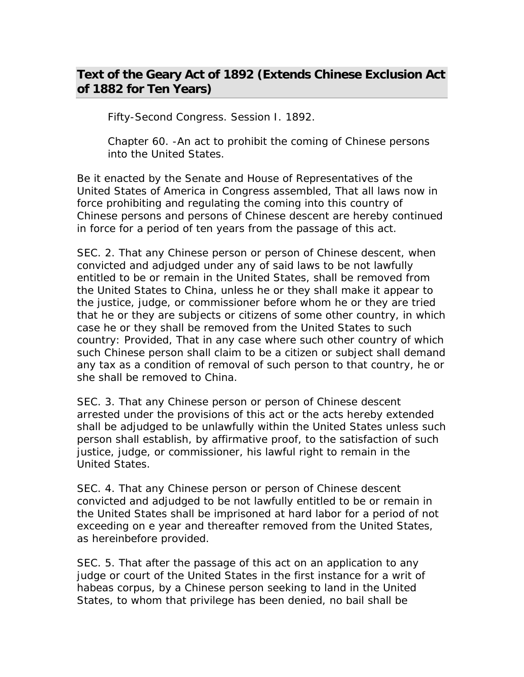## **Text of the Geary Act of 1892 (Extends Chinese Exclusion Act of 1882 for Ten Years)**

Fifty-Second Congress. Session I. 1892.

Chapter 60. -An act to prohibit the coming of Chinese persons into the United States.

Be it enacted by the Senate and House of Representatives of the United States of America in Congress assembled, That all laws now in force prohibiting and regulating the coming into this country of Chinese persons and persons of Chinese descent are hereby continued in force for a period of ten years from the passage of this act.

SEC. 2. That any Chinese person or person of Chinese descent, when convicted and adjudged under any of said laws to be not lawfully entitled to be or remain in the United States, shall be removed from the United States to China, unless he or they shall make it appear to the justice, judge, or commissioner before whom he or they are tried that he or they are subjects or citizens of some other country, in which case he or they shall be removed from the United States to such country: Provided, That in any case where such other country of which such Chinese person shall claim to be a citizen or subject shall demand any tax as a condition of removal of such person to that country, he or she shall be removed to China.

SEC. 3. That any Chinese person or person of Chinese descent arrested under the provisions of this act or the acts hereby extended shall be adjudged to be unlawfully within the United States unless such person shall establish, by affirmative proof, to the satisfaction of such justice, judge, or commissioner, his lawful right to remain in the United States.

SEC. 4. That any Chinese person or person of Chinese descent convicted and adjudged to be not lawfully entitled to be or remain in the United States shall be imprisoned at hard labor for a period of not exceeding on e year and thereafter removed from the United States, as hereinbefore provided.

SEC. 5. That after the passage of this act on an application to any judge or court of the United States in the first instance for a writ of habeas corpus, by a Chinese person seeking to land in the United States, to whom that privilege has been denied, no bail shall be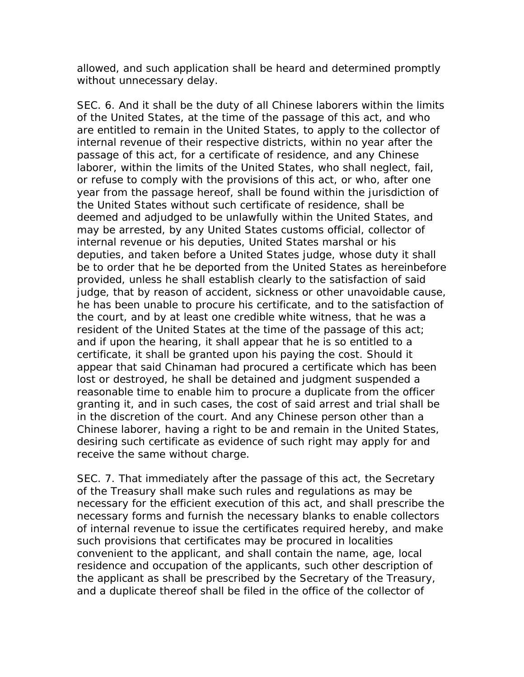allowed, and such application shall be heard and determined promptly without unnecessary delay.

SEC. 6. And it shall be the duty of all Chinese laborers within the limits of the United States, at the time of the passage of this act, and who are entitled to remain in the United States, to apply to the collector of internal revenue of their respective districts, within no year after the passage of this act, for a certificate of residence, and any Chinese laborer, within the limits of the United States, who shall neglect, fail, or refuse to comply with the provisions of this act, or who, after one year from the passage hereof, shall be found within the jurisdiction of the United States without such certificate of residence, shall be deemed and adjudged to be unlawfully within the United States, and may be arrested, by any United States customs official, collector of internal revenue or his deputies, United States marshal or his deputies, and taken before a United States judge, whose duty it shall be to order that he be deported from the United States as hereinbefore provided, unless he shall establish clearly to the satisfaction of said judge, that by reason of accident, sickness or other unavoidable cause, he has been unable to procure his certificate, and to the satisfaction of the court, and by at least one credible white witness, that he was a resident of the United States at the time of the passage of this act; and if upon the hearing, it shall appear that he is so entitled to a certificate, it shall be granted upon his paying the cost. Should it appear that said Chinaman had procured a certificate which has been lost or destroyed, he shall be detained and judgment suspended a reasonable time to enable him to procure a duplicate from the officer granting it, and in such cases, the cost of said arrest and trial shall be in the discretion of the court. And any Chinese person other than a Chinese laborer, having a right to be and remain in the United States, desiring such certificate as evidence of such right may apply for and receive the same without charge.

SEC. 7. That immediately after the passage of this act, the Secretary of the Treasury shall make such rules and regulations as may be necessary for the efficient execution of this act, and shall prescribe the necessary forms and furnish the necessary blanks to enable collectors of internal revenue to issue the certificates required hereby, and make such provisions that certificates may be procured in localities convenient to the applicant, and shall contain the name, age, local residence and occupation of the applicants, such other description of the applicant as shall be prescribed by the Secretary of the Treasury, and a duplicate thereof shall be filed in the office of the collector of